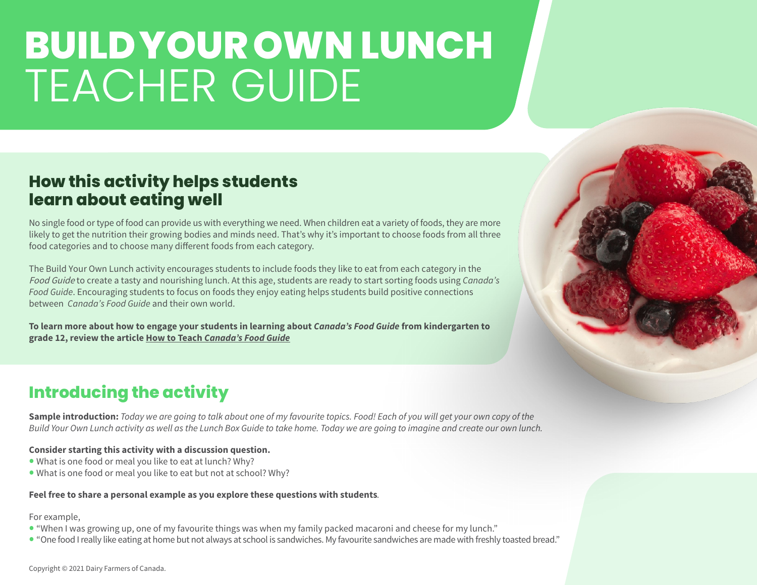### **How this activity helps students learn about eating well**

No single food or type of food can provide us with everything we need. When children eat a variety of foods, they are more likely to get the nutrition their growing bodies and minds need. That's why it's important to choose foods from all three food categories and to choose many different foods from each category.

The Build Your Own Lunch activity encourages students to include foods they like to eat from each category in the Food Guide to create a tasty and nourishing lunch. At this age, students are ready to start sorting foods using *Canada's Food Guide*. Encouraging students to focus on foods they enjoy eating helps students build positive connections between *Canada's Food Guide* and their own world.

**To learn more about how to engage your students in learning about** *Canada's Food Guide* **from kindergarten to grade 12, review the article How to Teach** *[Canada's Food Guide](https://dairyfarmersofcanada.ca/en/teachnutrition/ab/healthy-kids/food-nutrition/how-teach-canadas-food-guide)*

### **Introducing the activity**

**Sample introduction:** *Today we are going to talk about one of my favourite topics. Food! Each of you will get your own copy of the Build Your Own Lunch activity as well as the Lunch Box Guide to take home. Today we are going to imagine and create our own lunch.*

#### **Consider starting this activity with a discussion question.**

- What is one food or meal you like to eat at lunch? Why?
- What is one food or meal you like to eat but not at school? Why?

#### **Feel free to share a personal example as you explore these questions with students***.*

#### For example,

- "When I was growing up, one of my favourite things was when my family packed macaroni and cheese for my lunch."
- "One food I really like eating at home but not always at school is sandwiches. My favourite sandwiches are made with freshly toasted bread."

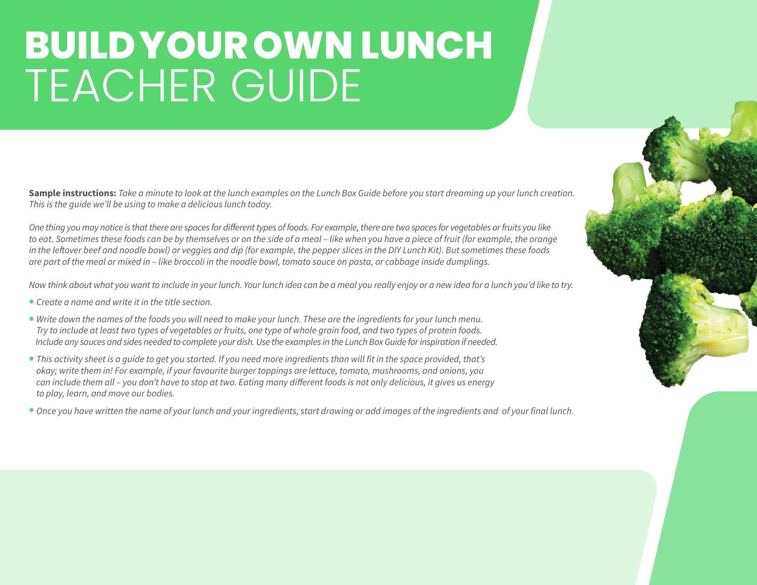**Sample instructions:** *Take a minute to look at the lunch examples on the Lunch Box Guide before you start dreaming up your lunch creation. This is the guide we'll be using to make a delicious lunch today.*

*One thing you may notice is that there are spaces for different types of foods. For example, there are two spaces for vegetables or fruits you like to eat. Sometimes these foods can be by themselves or on the side of a meal – like when you have a piece of fruit (for example, the orange in the leftover beef and noodle bowl) or veggies and dip (for example, the pepper slices in the DIY Lunch Kit). But sometimes these foods are part of the meal or mixed in – like broccoli in the noodle bowl, tomato sauce on pasta, or cabbage inside dumplings.*

*Now think about what you want to include in your lunch. Your lunch idea can be a meal you really enjoy or a new idea for a lunch you'd like to try.*

- *Create a name and write it in the title section.*
- *Write down the names of the foods you will need to make your lunch. These are the ingredients for your lunch menu. Try to include at least two types of vegetables or fruits, one type of whole grain food, and two types of protein foods. Include any sauces and sides needed to complete your dish. Use the examples in the Lunch Box Guide for inspiration if needed.*
- *This activity sheet is a guide to get you started. If you need more ingredients than will fit in the space provided, that's okay; write them in! For example, if your favourite burger toppings are lettuce, tomato, mushrooms, and onions, you can include them all – you don't have to stop at two. Eating many different foods is not only delicious, it gives us energy to play, learn, and move our bodies.*
- *Once you have written the name of your lunch and your ingredients, start drawing or add images of the ingredients and of your final lunch.*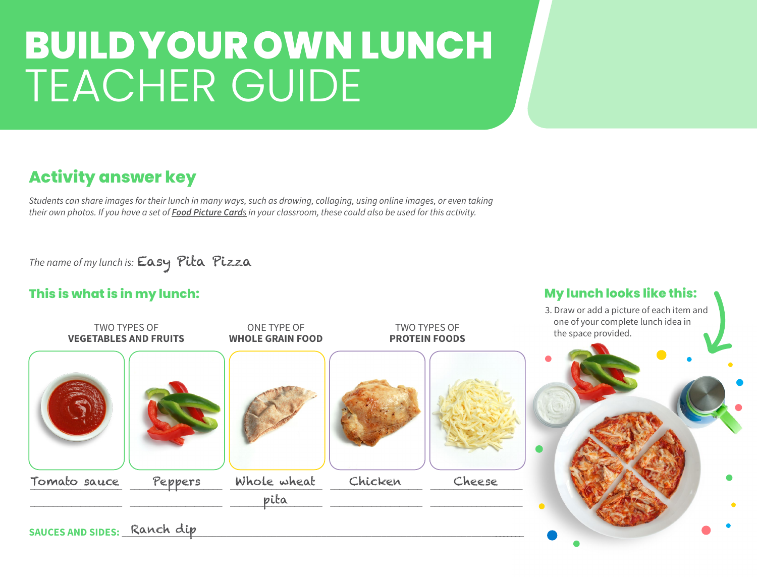### **Activity answer key**

*Students can share images for their lunch in many ways, such as drawing, collaging, using online images, or even taking their own photos. If you have a set of [Food Picture Card](https://dairyfarmersofcanada.ca/en/teachnutrition/ab/educational-resources/elementary-4-6/food-picture-cards-and-study-prints-4-6)s in your classroom, these could also be used for this activity.*

*The name of my lunch is:* Easy Pita Pizza

#### **This is what is in my lunch: My lunch looks like this:**